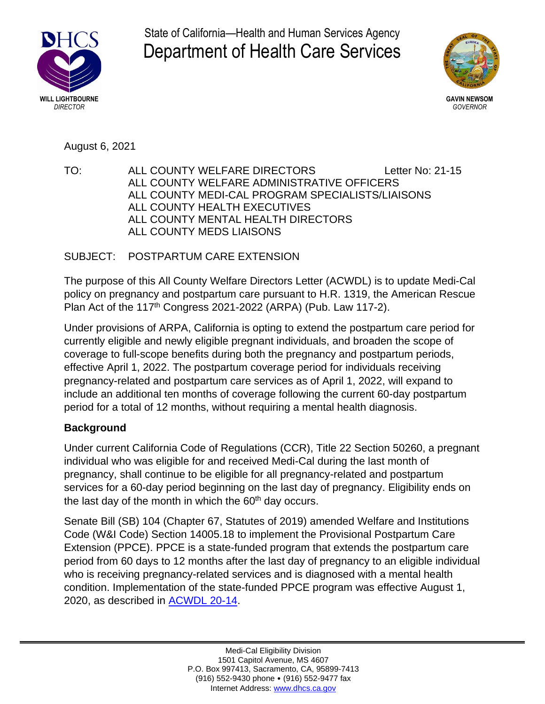

State of California—Health and Human Services Agency Department of Health Care Services



August 6, 2021

TO: ALL COUNTY WELFARE DIRECTORS Letter No: 21-15 ALL COUNTY WELFARE ADMINISTRATIVE OFFICERS ALL COUNTY MEDI-CAL PROGRAM SPECIALISTS/LIAISONS ALL COUNTY HEALTH EXECUTIVES ALL COUNTY MENTAL HEALTH DIRECTORS ALL COUNTY MEDS LIAISONS

## SUBJECT: POSTPARTUM CARE EXTENSION

The purpose of this All County Welfare Directors Letter (ACWDL) is to update Medi-Cal policy on pregnancy and postpartum care pursuant to H.R. 1319, the American Rescue Plan Act of the 117<sup>th</sup> Congress 2021-2022 (ARPA) (Pub. Law 117-2).

Under provisions of ARPA, California is opting to extend the postpartum care period for currently eligible and newly eligible pregnant individuals, and broaden the scope of coverage to full-scope benefits during both the pregnancy and postpartum periods, effective April 1, 2022. The postpartum coverage period for individuals receiving pregnancy-related and postpartum care services as of April 1, 2022, will expand to include an additional ten months of coverage following the current 60-day postpartum period for a total of 12 months, without requiring a mental health diagnosis.

## **Background**

Under current California Code of Regulations (CCR), Title 22 Section 50260, a pregnant individual who was eligible for and received Medi-Cal during the last month of pregnancy, shall continue to be eligible for all pregnancy-related and postpartum services for a 60-day period beginning on the last day of pregnancy. Eligibility ends on the last day of the month in which the  $60<sup>th</sup>$  day occurs.

Senate Bill (SB) 104 (Chapter 67, Statutes of 2019) amended Welfare and Institutions Code (W&I Code) Section 14005.18 to implement the Provisional Postpartum Care Extension (PPCE). PPCE is a state-funded program that extends the postpartum care period from 60 days to 12 months after the last day of pregnancy to an eligible individual who is receiving pregnancy-related services and is diagnosed with a mental health condition. Implementation of the state-funded PPCE program was effective August 1, 2020, as described in [ACWDL 20-14.](https://www.dhcs.ca.gov/services/medi-cal/eligibility/letters/Documents/20-14.pdf)